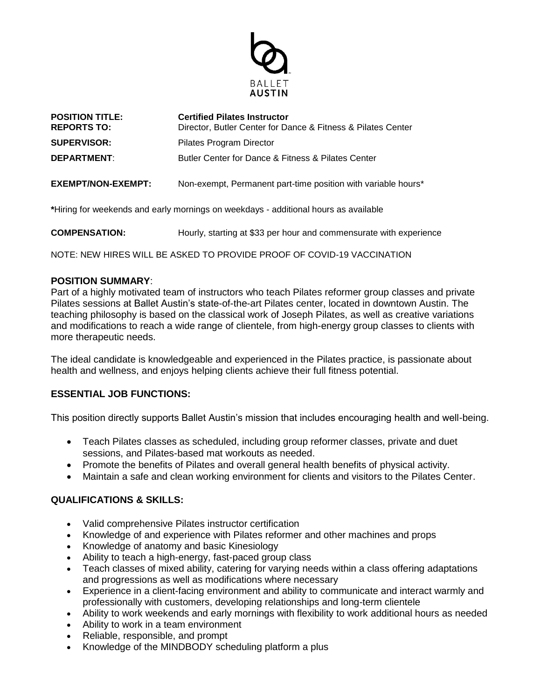

| <b>POSITION TITLE:</b><br><b>REPORTS TO:</b> | <b>Certified Pilates Instructor</b><br>Director, Butler Center for Dance & Fitness & Pilates Center |
|----------------------------------------------|-----------------------------------------------------------------------------------------------------|
| <b>SUPERVISOR:</b>                           | Pilates Program Director                                                                            |
| <b>DEPARTMENT:</b>                           | Butler Center for Dance & Fitness & Pilates Center                                                  |
| EXEMPT/NON-EXEMPT:                           | Non-exempt, Permanent part-time position with variable hours*                                       |

**\***Hiring for weekends and early mornings on weekdays - additional hours as available

**COMPENSATION:** Hourly, starting at \$33 per hour and commensurate with experience

NOTE: NEW HIRES WILL BE ASKED TO PROVIDE PROOF OF COVID-19 VACCINATION

## **POSITION SUMMARY**:

Part of a highly motivated team of instructors who teach Pilates reformer group classes and private Pilates sessions at Ballet Austin's state-of-the-art Pilates center, located in downtown Austin. The teaching philosophy is based on the classical work of Joseph Pilates, as well as creative variations and modifications to reach a wide range of clientele, from high-energy group classes to clients with more therapeutic needs.

The ideal candidate is knowledgeable and experienced in the Pilates practice, is passionate about health and wellness, and enjoys helping clients achieve their full fitness potential.

## **ESSENTIAL JOB FUNCTIONS:**

This position directly supports Ballet Austin's mission that includes encouraging health and well-being.

- Teach Pilates classes as scheduled, including group reformer classes, private and duet sessions, and Pilates-based mat workouts as needed.
- Promote the benefits of Pilates and overall general health benefits of physical activity.
- Maintain a safe and clean working environment for clients and visitors to the Pilates Center.

## **QUALIFICATIONS & SKILLS:**

- Valid comprehensive Pilates instructor certification
- Knowledge of and experience with Pilates reformer and other machines and props
- Knowledge of anatomy and basic Kinesiology
- Ability to teach a high-energy, fast-paced group class
- Teach classes of mixed ability, catering for varying needs within a class offering adaptations and progressions as well as modifications where necessary
- Experience in a client-facing environment and ability to communicate and interact warmly and professionally with customers, developing relationships and long-term clientele
- Ability to work weekends and early mornings with flexibility to work additional hours as needed
- Ability to work in a team environment
- Reliable, responsible, and prompt
- Knowledge of the MINDBODY scheduling platform a plus